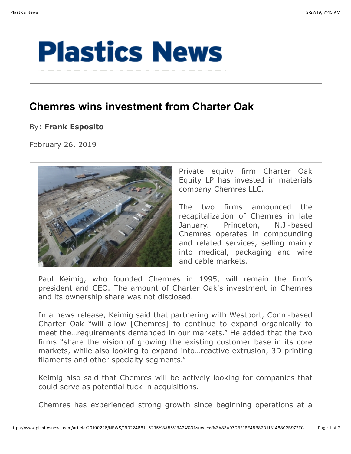## **Plastics News**

## **Chemres wins investment from Charter Oak**

## By: **Frank Esposito**

February 26, 2019



Private equity firm Charter Oak Equity LP has invested in materials company Chemres LLC.

The two firms announced the recapitalization of Chemres in late January. Princeton, N.J.-based Chemres operates in compounding and related services, selling mainly into medical, packaging and wire and cable markets.

Paul Keimig, who founded Chemres in 1995, will remain the firm's president and CEO. The amount of Charter Oak's investment in Chemres and its ownership share was not disclosed.

In a news release, Keimig said that partnering with Westport, Conn.-based Charter Oak "will allow [Chemres] to continue to expand organically to meet the…requirements demanded in our markets." He added that the two firms "share the vision of growing the existing customer base in its core markets, while also looking to expand into…reactive extrusion, 3D printing filaments and other specialty segments."

Keimig also said that Chemres will be actively looking for companies that could serve as potential tuck-in acquisitions.

Chemres has experienced strong growth since beginning operations at a